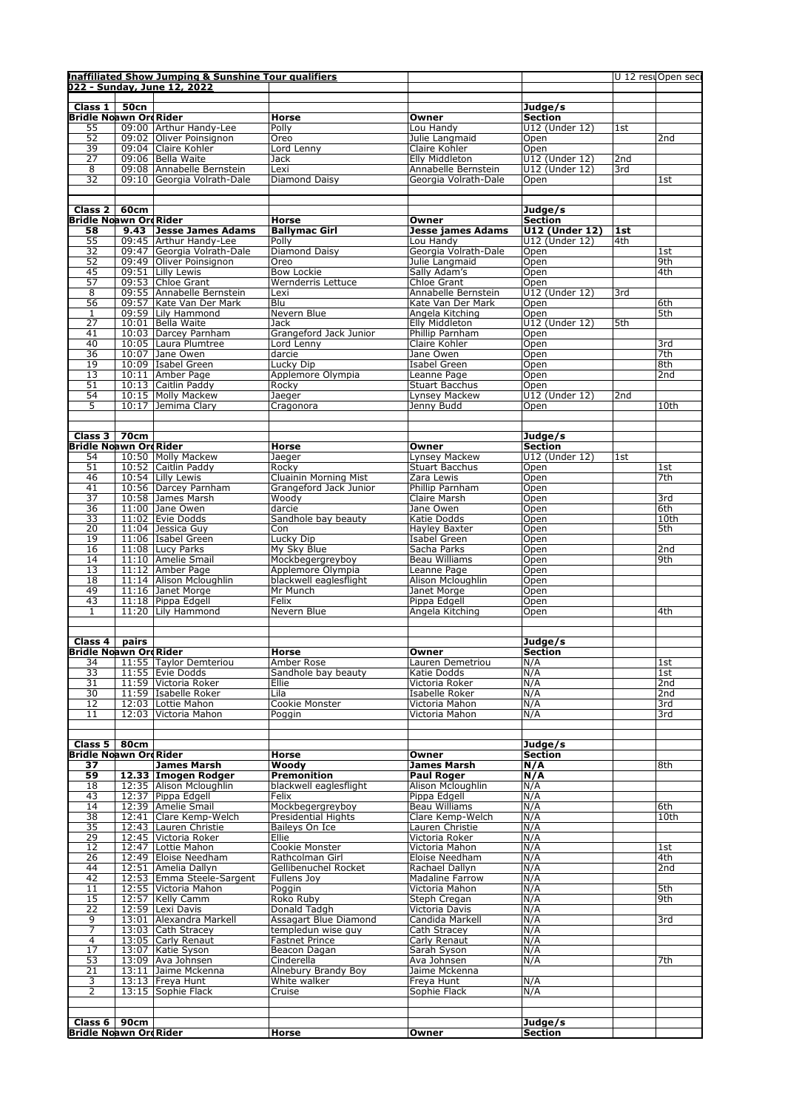|                               | Inaffiliated Show Jumping & Sunshine Tour qualifiers<br>022 - Sunday, June 12, 2022 |                        |                                          |                       | U 12 resuOpen seci |                 |
|-------------------------------|-------------------------------------------------------------------------------------|------------------------|------------------------------------------|-----------------------|--------------------|-----------------|
|                               |                                                                                     |                        |                                          |                       |                    |                 |
| Class $1 \mid 50$ cn          |                                                                                     |                        |                                          | Judge/s               |                    |                 |
| Bridle Noawn OrdRider         |                                                                                     | Horse                  | Owner                                    | <b>Section</b>        |                    |                 |
| 55                            | 09:00 Arthur Handy-Lee                                                              | Polly                  | Lou Handy                                | U12 (Under 12)        | 1st                |                 |
| 52                            | 09:02 Oliver Poinsignon                                                             | Oreo                   | Julie Langmaid                           | Open                  |                    | 2nd             |
| 39                            | 09:04 Claire Kohler                                                                 | Lord Lenny             | Claire Kohler                            | Open                  |                    |                 |
| $\overline{27}$               | 09:06   Bella Waite                                                                 | Jack                   | Elly Middleton                           | U12 (Under 12)        | 2nd                |                 |
| 8                             | 09:08 Annabelle Bernstein                                                           | Lexi                   | Annabelle Bernstein                      | U12 (Under 12)        | 3rd                |                 |
| $\overline{32}$               | 09:10 Georgia Volrath-Dale                                                          | Diamond Daisy          | Georgia Volrath-Dale                     | Open                  |                    | 1st             |
|                               |                                                                                     |                        |                                          |                       |                    |                 |
|                               |                                                                                     |                        |                                          |                       |                    |                 |
| Class $2 \mid 60$ cm          |                                                                                     |                        |                                          | Judge/s               |                    |                 |
| <b>Bridle Noawn Ord Rider</b> |                                                                                     | Horse                  | Owner                                    | <b>Section</b>        |                    |                 |
| 58                            | 9.43 Jesse James Adams                                                              | <b>Ballymac Girl</b>   | <b>Jesse james Adams</b>                 | <b>U12 (Under 12)</b> | 1st                |                 |
| 55                            | 09:45 Arthur Handy-Lee                                                              | Polly                  | Lou Handy                                | U12 (Under 12)        | 4th                |                 |
| 32                            | 09:47 Georgia Volrath-Dale                                                          | Diamond Daisy          | Georgia Volrath-Dale                     | Open                  |                    | 1st             |
| 52                            | 09:49 Oliver Poinsignon                                                             | Oreo                   | Julie Langmaid                           | Open                  |                    | 9th             |
| 45                            | 09:51 Lilly Lewis                                                                   | <b>Bow Lockie</b>      | Sally Adam's                             | Open                  |                    | 4th             |
| 57                            | 09:53 Chloe Grant                                                                   | Wernderris Lettuce     | Chloe Grant                              | Open                  |                    |                 |
| $\overline{8}$                | 09:55 Annabelle Bernstein                                                           | Lexi                   |                                          | U12 (Under 12)        | 3rd                |                 |
| 56                            | 09:57 Kate Van Der Mark                                                             | Blu                    | Annabelle Bernstein<br>Kate Van Der Mark |                       |                    | 6th             |
| 1                             | 09:59 Lily Hammond                                                                  | Nevern Blue            | Angela Kitching                          | Open<br>Open          |                    | 5th             |
| $\overline{27}$               | 10:01   Bella Waite                                                                 | Jack                   | Elly Middleton                           | U12 (Under 12)        | 5th                |                 |
| 41                            | 10:03 Darcey Parnham                                                                | Grangeford Jack Junior | Phillip Parnham                          | Open                  |                    |                 |
| 40                            |                                                                                     | Lord Lenny             |                                          |                       |                    | 3rd             |
| 36                            | 10:05 Laura Plumtree                                                                |                        | Claire Kohler                            | Open                  |                    | 7th             |
|                               | 10:07 Jane Owen                                                                     | darcie                 | Jane Owen                                | Open                  |                    |                 |
| 19                            | 10:09 Isabel Green                                                                  | Lucky Dip              | Isabel Green                             | Open                  |                    | 8th             |
| 13                            | 10:11   Amber Page                                                                  | Applemore Olympia      | Leanne Page                              | Open                  |                    | 2nd             |
| 51                            | 10:13 Caitlin Paddy                                                                 | Rocky                  | <b>Stuart Bacchus</b>                    | Open                  |                    |                 |
| 54                            | 10:15 Molly Mackew                                                                  | Jaeger                 | Lynsey Mackew                            | U12 (Under 12)        | 2nd                |                 |
| 5                             | 10:17 Jemima Clary                                                                  | Cragonora              | Jenny Budd                               | Open                  |                    | 10th            |
|                               |                                                                                     |                        |                                          |                       |                    |                 |
|                               |                                                                                     |                        |                                          |                       |                    |                 |
| Class 3   70cm                |                                                                                     |                        |                                          | Judge/s               |                    |                 |
| Bridle Noawn OrdRider         |                                                                                     | Horse                  | Owner                                    | <b>Section</b>        |                    |                 |
| 54                            | 10:50 Molly Mackew                                                                  | Jaeger                 | Lynsey Mackew                            | U12 (Under 12)        | 1st                |                 |
| 51                            | 10:52 Caitlin Paddy                                                                 | Rocky                  | <b>Stuart Bacchus</b>                    | Open                  |                    | 1st             |
| 46                            | 10:54 Lilly Lewis                                                                   | Cluainin Morning Mist  | Zara Lewis                               | Open                  |                    | 7th             |
| 41                            | 10:56 Darcey Parnham                                                                | Grangeford Jack Junior | Phillip Parnham                          | Open                  |                    |                 |
| $\overline{37}$               | 10:58 James Marsh                                                                   | Woody                  | Claire Marsh                             | Open                  |                    | 3rd             |
| 36                            | $11:00$ Jane Owen                                                                   | darcie                 | Jane Owen                                | Open                  |                    | 6th             |
| 33                            | 11:02 Evie Dodds                                                                    | Sandhole bay beauty    | Katie Dodds                              | Open                  |                    | 10th            |
| $\overline{20}$               | $11:04$ Jessica Guy                                                                 | Con                    | Hayley Baxter                            | Open                  |                    | 5th             |
| 19                            | 11:06   Isabel Green                                                                | Lucky Dip              | Isabel Green                             | Open                  |                    |                 |
| 16                            | 11:08 Lucy Parks                                                                    | My Sky Blue            | Sacha Parks                              | Open                  |                    | 2nd             |
| 14                            | 11:10 Amelie Smail                                                                  | Mockbegergreyboy       | Beau Williams                            | Open                  |                    | 9th             |
| 13                            | 11:12 Amber Page                                                                    | Applemore Olympia      | Leanne Page                              | Open                  |                    |                 |
| 18                            | 11:14 Alison Mcloughlin                                                             | blackwell eaglesflight | Alison Mcloughlin                        | Open                  |                    |                 |
| 49                            | 11:16 Janet Morge                                                                   | Mr Munch               | Janet Morge                              | Open                  |                    |                 |
| 43                            | 11:18 Pippa Edgell                                                                  | Felix                  | Pippa Edgell                             | Open                  |                    |                 |
| 1                             | 11:20 Lily Hammond                                                                  | Nevern Blue            | Angela Kitching                          | Open                  |                    | 4th             |
|                               |                                                                                     |                        |                                          |                       |                    |                 |
|                               |                                                                                     |                        |                                          |                       |                    |                 |
| Class $4 \mid$ pairs          |                                                                                     |                        |                                          | Judge/s               |                    |                 |
| <b>Bridle Noawn Ord Rider</b> |                                                                                     | <b>Horse</b>           | Owner                                    | Section               |                    |                 |
|                               | 11:55 Taylor Demteriou                                                              | Amber Rose             | Lauren Demetriou                         | N/A                   |                    | 1st             |
| $\frac{34}{33}$               | 11:55   Evie Dodds                                                                  | Sandhole bay beauty    | Katie Dodds                              | N/A                   |                    | 1st             |
| 31                            | 11:59 Victoria Roker                                                                | Ellie                  | Victoria Roker                           | N/A                   |                    | 2nd             |
| 30                            | 11:59 Isabelle Roker                                                                | Lila                   | Isabelle Roker                           | N/A                   |                    | 2nd             |
| 12                            | 12:03   Lottie Mahon                                                                | Cookie Monster         | Victoria Mahon                           | N/A                   |                    | 3rd             |
| 11                            | 12:03   Victoria Mahon                                                              | Poggin                 | Victoria Mahon                           | N/A                   |                    | 3rd             |
|                               |                                                                                     |                        |                                          |                       |                    |                 |
|                               |                                                                                     |                        |                                          |                       |                    |                 |
| Class $5 \mid 80cm$           |                                                                                     |                        |                                          | Judge/s               |                    |                 |
| <b>Bridle Noawn Ord Rider</b> |                                                                                     | Horse                  | Owner                                    | Section               |                    |                 |
| 37                            | <b>James Marsh</b>                                                                  | Woodv                  | <b>James Marsh</b>                       | N/A                   |                    | 8th             |
| 59                            | 12.33 Imogen Rodger                                                                 | <b>Premonition</b>     | <b>Paul Roger</b>                        | N/A                   |                    |                 |
| 18                            | 12:35 Alison Mcloughlin                                                             | blackwell eaglesflight | Alison Mcloughlin                        | N/A                   |                    |                 |
| 43                            | 12:37 Pippa Edgell                                                                  | Felix                  | Pippa Edgell                             | N/A                   |                    |                 |
| 14                            | 12:39 Amelie Smail                                                                  | Mockbegergreyboy       | <b>Beau Williams</b>                     | N/A                   |                    | 6th             |
| 38                            | 12:41 Clare Kemp-Welch                                                              | Presidential Hights    | Clare Kemp-Welch                         | N/A                   |                    | 10th            |
| 35                            | 12:43 Lauren Christie                                                               | Baileys On Ice         | Lauren Christie                          | N/A                   |                    |                 |
|                               | 12:45 Victoria Roker                                                                | Ellie                  | Victoria Roker                           | N/A                   |                    |                 |
| 29                            | 12:47 Lottie Mahon                                                                  | Cookie Monster         | Victoria Mahon                           | N/A                   |                    | 1st             |
| 12                            |                                                                                     | Rathcolman Girl        | Eloise Needham                           | N/A                   |                    | 4th             |
| 26                            | 12:49 Eloise Needham                                                                |                        |                                          |                       |                    | 2 <sub>nd</sub> |
| 44                            | 12:51 Amelia Dallyn                                                                 | Gellibenuchel Rocket   | Rachael Dallyn                           | N/A                   |                    |                 |
| 42                            | 12:53 Emma Steele-Sargent                                                           | Fullens Joy            | <b>Madaline Farrow</b>                   | N/A                   |                    |                 |
| 11                            | 12:55 Victoria Mahon                                                                | Poggin                 | Victoria Mahon                           | N/A                   |                    | 5th             |
| 15                            |                                                                                     | Roko Ruby              | Steph Cregan                             | N/A                   |                    | 9th             |
| 22                            | 12:57 Kelly Camm<br>12:59 Lexi Davis                                                | Donald Tadgh           | Victoria Davis                           | N/A                   |                    |                 |
| 9                             |                                                                                     |                        |                                          |                       |                    |                 |
|                               | 13:01   Alexandra Markell                                                           | Assagart Blue Diamond  | Candida Markell                          | N/A                   |                    | 3rd             |
| 7                             | 13:03 Cath Stracey                                                                  | templedun wise guy     | Cath Stracey                             | N/A                   |                    |                 |
| 4                             | 13:05 Carly Renaut                                                                  | <b>Fastnet Prince</b>  | Carly Renaut                             | N/A                   |                    |                 |
| 17                            | 13:07 Katie Syson                                                                   | Beacon Dagan           | Sarah Syson                              | N/A                   |                    |                 |
| 53                            | 13:09 Ava Johnsen                                                                   | Cinderella             | Ava Johnsen                              | N/A                   |                    | 7th             |
| $\overline{21}$               | 13:11 Jaime Mckenna                                                                 | Alnebury Brandy Boy    | Jaime Mckenna                            |                       |                    |                 |
| 3                             | 13:13   Freya Hunt                                                                  | White walker           | Freya Hunt                               | N/A                   |                    |                 |
| 2                             | 13:15 Sophie Flack                                                                  | Cruise                 | Sophie Flack                             | N/A                   |                    |                 |
|                               |                                                                                     |                        |                                          |                       |                    |                 |
| Class $6 \mid 90cm$           |                                                                                     |                        |                                          | Judge/s               |                    |                 |